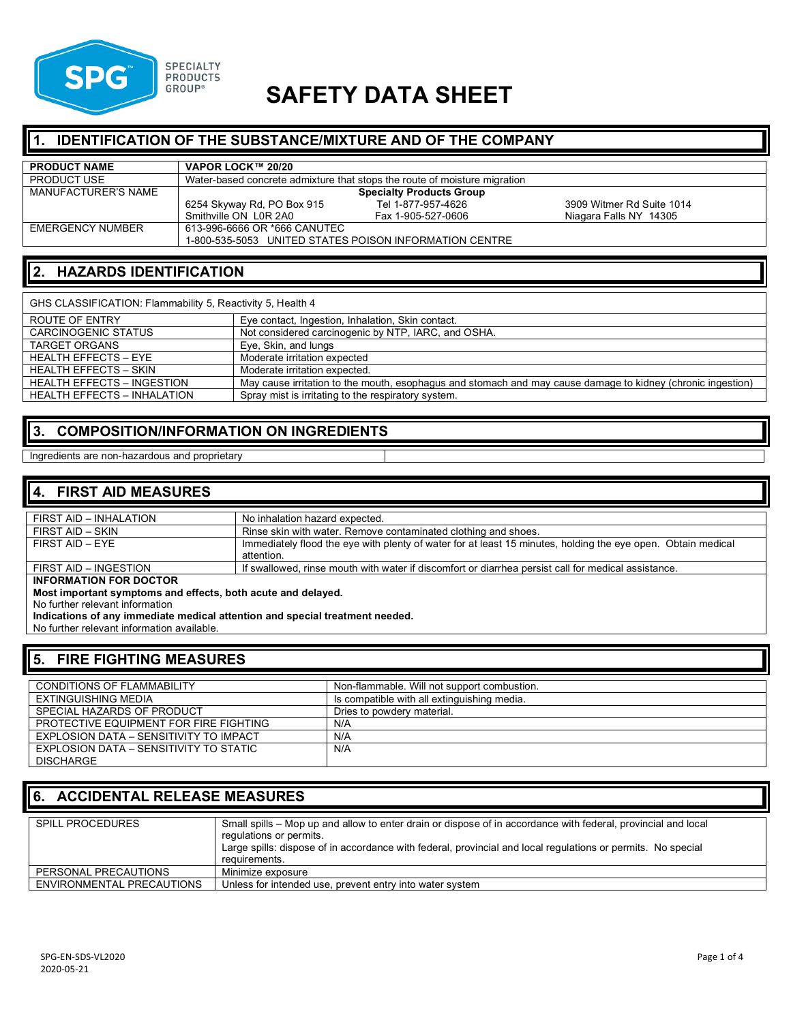

# **SAFETY DATA SHEET**

# **IDENTIFICATION OF THE SUBSTANCE/MIXTURE AND OF THE COMPANY**

| <b>PRODUCT NAME</b> | VAPOR LOCK™ 20/20                                                         |                    |                           |
|---------------------|---------------------------------------------------------------------------|--------------------|---------------------------|
| <b>PRODUCT USE</b>  | Water-based concrete admixture that stops the route of moisture migration |                    |                           |
| MANUFACTURER'S NAME | <b>Specialty Products Group</b>                                           |                    |                           |
|                     | 6254 Skyway Rd, PO Box 915                                                | Tel 1-877-957-4626 | 3909 Witmer Rd Suite 1014 |
|                     | Smithville ON L0R 2A0                                                     | Fax 1-905-527-0606 | Niagara Falls NY 14305    |
| EMERGENCY NUMBER    | 613-996-6666 OR *666 CANUTEC                                              |                    |                           |
|                     | 1-800-535-5053 UNITED STATES POISON INFORMATION CENTRE                    |                    |                           |

#### **2. HAZARDS IDENTIFICATION**

| GHS CLASSIFICATION: Flammability 5, Reactivity 5, Health 4 |                                                                                                             |  |
|------------------------------------------------------------|-------------------------------------------------------------------------------------------------------------|--|
| ROUTE OF ENTRY                                             | Eye contact, Ingestion, Inhalation, Skin contact.                                                           |  |
| <b>CARCINOGENIC STATUS</b>                                 | Not considered carcinogenic by NTP, IARC, and OSHA.                                                         |  |
| <b>TARGET ORGANS</b>                                       | Eve. Skin, and lungs                                                                                        |  |
| <b>HEALTH EFFECTS - EYE</b>                                | Moderate irritation expected                                                                                |  |
| <b>HEALTH EFFECTS - SKIN</b>                               | Moderate irritation expected.                                                                               |  |
| <b>HEALTH EFFECTS - INGESTION</b>                          | May cause irritation to the mouth, esophagus and stomach and may cause damage to kidney (chronic ingestion) |  |
| <b>HEALTH EFFECTS - INHALATION</b>                         | Spray mist is irritating to the respiratory system.                                                         |  |

#### **3. COMPOSITION/INFORMATION ON INGREDIENTS**

#### Ingredients are non-hazardous and proprietary

#### **4. FIRST AID MEASURES**

| FIRST AID - INHALATION                                                      | No inhalation hazard expected.                                                                               |  |
|-----------------------------------------------------------------------------|--------------------------------------------------------------------------------------------------------------|--|
|                                                                             |                                                                                                              |  |
| FIRST AID – SKIN                                                            | Rinse skin with water. Remove contaminated clothing and shoes.                                               |  |
| FIRST AID - EYE                                                             | Immediately flood the eye with plenty of water for at least 15 minutes, holding the eye open. Obtain medical |  |
|                                                                             | attention.                                                                                                   |  |
| FIRST AID - INGESTION                                                       | If swallowed, rinse mouth with water if discomfort or diarrhea persist call for medical assistance.          |  |
| <b>INFORMATION FOR DOCTOR</b>                                               |                                                                                                              |  |
| Most important symptoms and effects, both acute and delayed.                |                                                                                                              |  |
| No further relevant information                                             |                                                                                                              |  |
| Indications of any immediate medical attention and special treatment needed |                                                                                                              |  |

Indications of any immediate medical attention

No further relevant information available.

#### **5. FIRE FIGHTING MEASURES**

| <b>CONDITIONS OF FLAMMABILITY</b>      | Non-flammable. Will not support combustion. |
|----------------------------------------|---------------------------------------------|
| EXTINGUISHING MEDIA                    | Is compatible with all extinguishing media. |
| SPECIAL HAZARDS OF PRODUCT             | Dries to powdery material.                  |
| PROTECTIVE EQUIPMENT FOR FIRE FIGHTING | N/A                                         |
| EXPLOSION DATA - SENSITIVITY TO IMPACT | N/A                                         |
| EXPLOSION DATA – SENSITIVITY TO STATIC | N/A                                         |
| <b>DISCHARGE</b>                       |                                             |

#### **6. ACCIDENTAL RELEASE MEASURES**

| <b>SPILL PROCEDURES</b>   | Small spills – Mop up and allow to enter drain or dispose of in accordance with federal, provincial and local<br>regulations or permits.<br>Large spills: dispose of in accordance with federal, provincial and local regulations or permits. No special<br>requirements. |  |
|---------------------------|---------------------------------------------------------------------------------------------------------------------------------------------------------------------------------------------------------------------------------------------------------------------------|--|
| PERSONAL PRECAUTIONS      | Minimize exposure                                                                                                                                                                                                                                                         |  |
| ENVIRONMENTAL PRECAUTIONS | Unless for intended use, prevent entry into water system                                                                                                                                                                                                                  |  |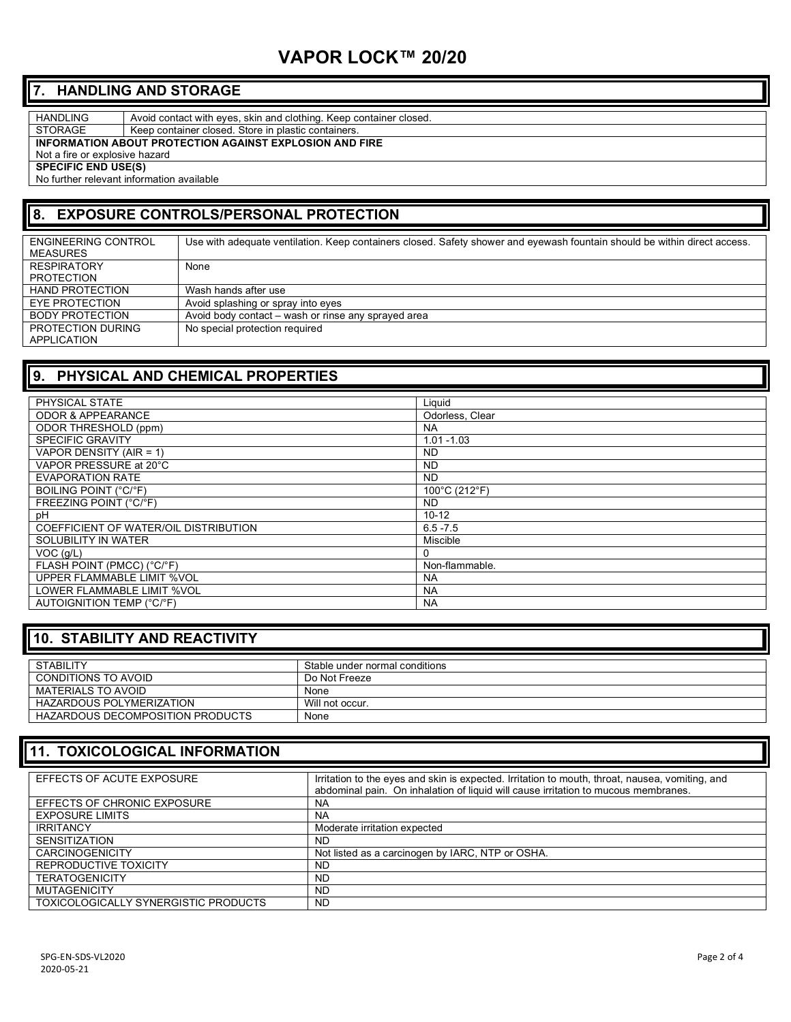# **VAPOR LOCK™ 20/20**

#### **7. HANDLING AND STORAGE**

HANDLING Avoid contact with eyes, skin and clothing. Keep container closed. STORAGE | Keep container closed. Store in plastic containers.

**INFORMATION ABOUT PROTECTION AGAINST EXPLOSION AND FIRE**

Not a fire or explosive hazard

**SPECIFIC END USE(S)** 

No further relevant information available

# **8. EXPOSURE CONTROLS/PERSONAL PROTECTION**

| ENGINEERING CONTROL<br>MEASURES  | Use with adequate ventilation. Keep containers closed. Safety shower and eyewash fountain should be within direct access. |
|----------------------------------|---------------------------------------------------------------------------------------------------------------------------|
| <b>RESPIRATORY</b><br>PROTECTION | None                                                                                                                      |
| <b>HAND PROTECTION</b>           | Wash hands after use                                                                                                      |
| EYE PROTECTION                   | Avoid splashing or spray into eyes                                                                                        |
| BODY PROTECTION                  | Avoid body contact – wash or rinse any sprayed area                                                                       |
| PROTECTION DURING<br>APPLICATION | No special protection required                                                                                            |

#### **9. PHYSICAL AND CHEMICAL PROPERTIES**

| PHYSICAL STATE                        | Liquid          |
|---------------------------------------|-----------------|
| <b>ODOR &amp; APPEARANCE</b>          | Odorless, Clear |
| <b>ODOR THRESHOLD (ppm)</b>           | <b>NA</b>       |
| <b>SPECIFIC GRAVITY</b>               | $1.01 - 1.03$   |
| VAPOR DENSITY (AIR = 1)               | <b>ND</b>       |
| VAPOR PRESSURE at 20°C                | ND.             |
| <b>EVAPORATION RATE</b>               | ND.             |
| <b>BOILING POINT (°C/°F)</b>          | 100°C (212°F)   |
| FREEZING POINT (°C/°F)                | ND.             |
| pH                                    | $10 - 12$       |
| COEFFICIENT OF WATER/OIL DISTRIBUTION | $6.5 - 7.5$     |
| SOLUBILITY IN WATER                   | Miscible        |
| $VOC$ ( $q/L$ )                       |                 |
| FLASH POINT (PMCC) (°C/°F)            | Non-flammable.  |
| UPPER FLAMMABLE LIMIT %VOL            | <b>NA</b>       |
| LOWER FLAMMABLE LIMIT %VOL            | <b>NA</b>       |
| AUTOIGNITION TEMP (°C/°F)             | <b>NA</b>       |

#### **10. STABILITY AND REACTIVITY**

| <b>STABILITY</b>                 | Stable under normal conditions |
|----------------------------------|--------------------------------|
|                                  |                                |
| CONDITIONS TO AVOID              | Do Not Freeze                  |
|                                  |                                |
| MATERIALS TO AVOID               | None                           |
|                                  |                                |
| HAZARDOUS POLYMERIZATION         | Will not occur.                |
| HAZARDOUS DECOMPOSITION PRODUCTS | None                           |
|                                  |                                |

#### **11. TOXICOLOGICAL INFORMATION**

| EFFECTS OF ACUTE EXPOSURE            | Irritation to the eyes and skin is expected. Irritation to mouth, throat, nausea, vomiting, and<br>abdominal pain. On inhalation of liquid will cause irritation to mucous membranes. |
|--------------------------------------|---------------------------------------------------------------------------------------------------------------------------------------------------------------------------------------|
| EFFECTS OF CHRONIC EXPOSURE          | <b>NA</b>                                                                                                                                                                             |
| <b>EXPOSURE LIMITS</b>               | NA                                                                                                                                                                                    |
| <b>IRRITANCY</b>                     | Moderate irritation expected                                                                                                                                                          |
| <b>SENSITIZATION</b>                 | <b>ND</b>                                                                                                                                                                             |
| <b>CARCINOGENICITY</b>               | Not listed as a carcinogen by IARC, NTP or OSHA.                                                                                                                                      |
| REPRODUCTIVE TOXICITY                | <b>ND</b>                                                                                                                                                                             |
| <b>TERATOGENICITY</b>                | <b>ND</b>                                                                                                                                                                             |
| <b>MUTAGENICITY</b>                  | <b>ND</b>                                                                                                                                                                             |
| TOXICOLOGICALLY SYNERGISTIC PRODUCTS | <b>ND</b>                                                                                                                                                                             |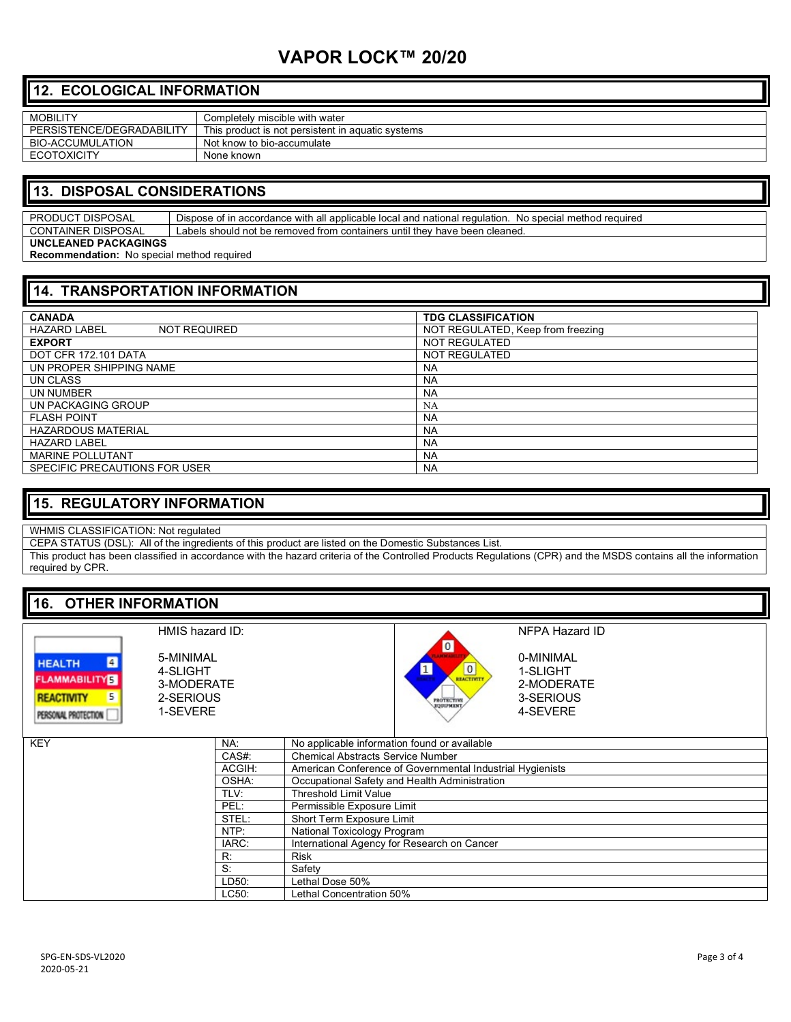# **VAPOR LOCK™ 20/20**

#### **12. ECOLOGICAL INFORMATION**

| <b>MOBILITY</b>           | Completelv miscible with water                    |
|---------------------------|---------------------------------------------------|
| PERSISTENCE/DEGRADABILITY | This product is not persistent in aquatic systems |
| BIO-ACCUMULATION          | Not know to bio-accumulate                        |
| <b>ECOTOXICITY</b>        | None known                                        |

#### **13. DISPOSAL CONSIDERATIONS**

PRODUCT DISPOSAL | Dispose of in accordance with all applicable local and national regulation. No special method required CONTAINER DISPOSAL Labels should not be removed from containers until they have been cleaned. **UNCLEANED PACKAGINGS**

**Recommendation:** No special method required

### **14. TRANSPORTATION INFORMATION**

| <b>CANADA</b>                              | <b>TDG CLASSIFICATION</b>         |
|--------------------------------------------|-----------------------------------|
| <b>HAZARD LABEL</b><br><b>NOT REQUIRED</b> | NOT REGULATED, Keep from freezing |
| <b>EXPORT</b>                              | NOT REGULATED                     |
| DOT CFR 172.101 DATA                       | NOT REGULATED                     |
| UN PROPER SHIPPING NAME                    | <b>NA</b>                         |
| UN CLASS                                   | <b>NA</b>                         |
| UN NUMBER                                  | <b>NA</b>                         |
| UN PACKAGING GROUP                         | <b>NA</b>                         |
| <b>FLASH POINT</b>                         | <b>NA</b>                         |
| <b>HAZARDOUS MATERIAL</b>                  | <b>NA</b>                         |
| <b>HAZARD LABEL</b>                        | <b>NA</b>                         |
| <b>MARINE POLLUTANT</b>                    | <b>NA</b>                         |
| SPECIFIC PRECAUTIONS FOR USER              | <b>NA</b>                         |

#### **15. REGULATORY INFORMATION**

WHMIS CLASSIFICATION: Not regulated

CEPA STATUS (DSL): All of the ingredients of this product are listed on the Domestic Substances List.

This product has been classified in accordance with the hazard criteria of the Controlled Products Regulations (CPR) and the MSDS contains all the information required by CPR.

### **16. OTHER INFORMATION**

|                                                                                                         | HMIS hazard ID:                                              |        | NFPA Hazard ID                                                                                                                                              |
|---------------------------------------------------------------------------------------------------------|--------------------------------------------------------------|--------|-------------------------------------------------------------------------------------------------------------------------------------------------------------|
| $\blacksquare$<br><b>HEALTH</b><br><b>FLAMMABILITY</b><br><b>REACTIVITY</b><br>5<br>PERSONAL PROTECTION | 5-MINIMAL<br>4-SLIGHT<br>3-MODERATE<br>2-SERIOUS<br>1-SEVERE |        | $\boxed{0}$<br>0-MINIMAL<br>REACTIVITY<br>$\mathbf{1}$<br>1-SLIGHT<br>AP 19<br>2-MODERATE<br>3-SERIOUS<br><b>PROTECTIVE</b><br><b>EQUIPMENT</b><br>4-SEVERE |
| <b>KEY</b>                                                                                              |                                                              | NA:    | No applicable information found or available                                                                                                                |
|                                                                                                         |                                                              | CAS#:  | <b>Chemical Abstracts Service Number</b>                                                                                                                    |
|                                                                                                         |                                                              | ACGIH: | American Conference of Governmental Industrial Hygienists                                                                                                   |
|                                                                                                         |                                                              | OSHA:  | Occupational Safety and Health Administration                                                                                                               |
|                                                                                                         |                                                              | TLV:   | <b>Threshold Limit Value</b>                                                                                                                                |
|                                                                                                         |                                                              | PEL:   | Permissible Exposure Limit                                                                                                                                  |
|                                                                                                         |                                                              | STEL:  | Short Term Exposure Limit                                                                                                                                   |
|                                                                                                         |                                                              | NTP:   | National Toxicology Program                                                                                                                                 |
|                                                                                                         |                                                              | IARC:  | International Agency for Research on Cancer                                                                                                                 |
|                                                                                                         |                                                              | R:     | <b>Risk</b>                                                                                                                                                 |
|                                                                                                         |                                                              | $S$ :  | Safety                                                                                                                                                      |
|                                                                                                         |                                                              | LD50:  | Lethal Dose 50%                                                                                                                                             |
|                                                                                                         |                                                              | LC50:  | Lethal Concentration 50%                                                                                                                                    |